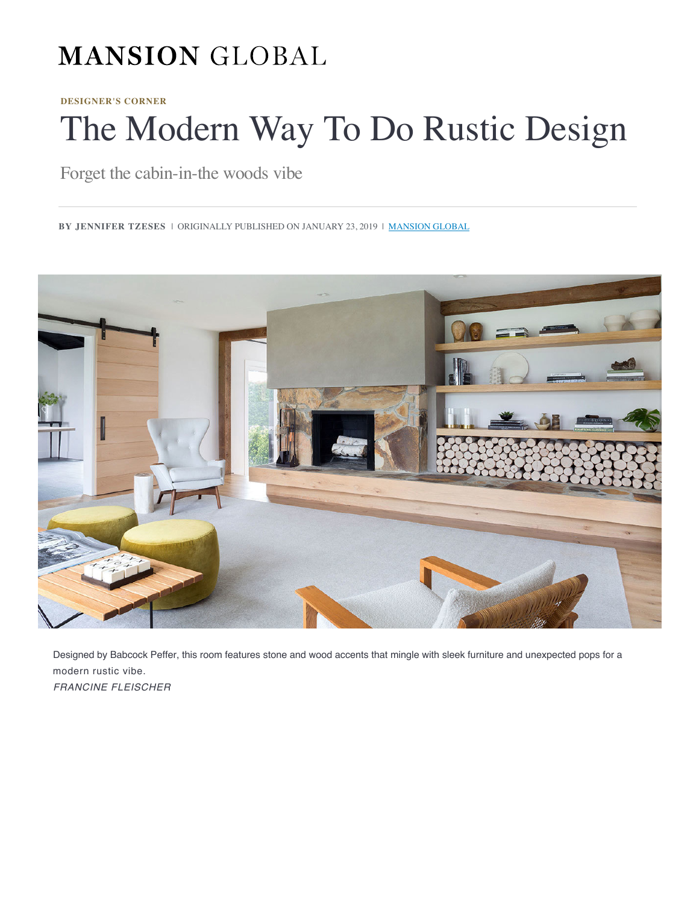# **MANSION GLOBAL**

**DESIGNER'S CORNER**

# The Modern Way To Do Rus[tic Design](https://www.mansionglobal.com/secure?do=login&back=/articles/the-modern-way-to-do-rustic-design-119819)

Forget [the cabin-in-the woods vibe](https://www.mansionglobal.com/)

**BY JENNIFER TZESES** | ORIGINALLY PUBLISHED ON JANUARY 23, 2019 | **MANSION GLOBAL** 



Designed by Babcock Peffer, this room features stone and wood accents that mingle with sleek furniture and unexpected pops for a modern rustic vibe. FRANCINE FLEISCHER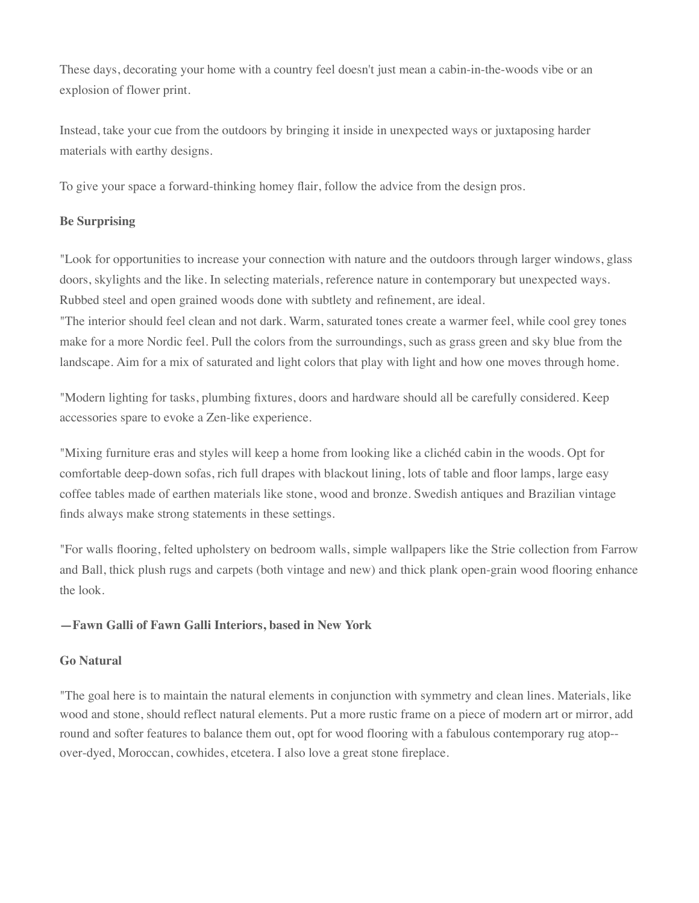These days, decorating your home with a country feel doesn't just mean a cabin-in-the-wo[ods v](mailto:?subject=The%20Modern%20Way%20To%20Do%20Rustic%20Design&body=https://www.mansionglobal.com/articles/the-modern-way-to-do-rustic-design-119819)i[be or](https://twitter.com/intent/tweet?text=The%20Modern%20Way%20To%20Do%20Rustic%20Design&url=https://www.mansionglobal.com/articles/the-modern-way-to-do-rustic-design-119819&via=MansionGlobal) [an](https://www.facebook.com/sharer/sharer.php?u=https://www.mansionglobal.com/articles/the-modern-way-to-do-rustic-design-119819)  explosi[on of flower print.](https://www.mansionglobal.com/articles/the-modern-way-to-do-rustic-design-119819#)

Instead, take your cue from the outdoors by bringing it inside in unexpected ways or juxtaposing harder materials with earthy designs.

To giv[e your space a forward-thinking homey flair](https://www.mansionglobal.com/articles/the-top-6-interior-design-trends-for-2019-117598?mod=article_inline), follow the advice from the design pros.

# **Be Surprising**

"Look for opportunities to increase your connection with nature and the outdoors through larger windows, glass doors, skylights and the like. In selecting materials, reference nature in contemporary but unexpected ways. Rubbed steel and open grained woods done with subtlety and refinement, are ideal.

"The interior should feel clean and not dark. Warm, saturated tones create a warmer feel, while cool grey tones make for a more Nordic feel. Pull the colors from the surroundings, such as grass green and sky blue from the landscape. Aim for a mix of saturated and light colors that play with light and how one moves through home.

"Modern lighting for tasks, plumbing fixtures, doors and hardware should all be carefully considered. Keep accessories spare to evoke a Zen-like experience.

"Mixing furniture eras and styles will keep a home from looking like a clichéd cabin in the woods. Opt for comfortable deep-down sofas, rich full drapes with blackout lining, lots of table and floor lamps, large easy coffee tables made of earthen materials like stone, wood and bronze. Swedish antiques and Brazilian vintage finds always make strong statements in these settings.

"For walls flooring, felted upholstery on bedroom walls, simple wallpapers like the Strie collection from Farrow and Ball, thick plush rugs and carpets (both vintage and new) and thick plank open-grain wood flooring enhance the look.

# **—Fawn Galli of Fawn Galli Interiors, based in New York**

# **Go Natural**

"The goal here is to maintain the natural elements in conjunction with symmetry and clean lines. Materials, like wood and stone, should reflect natural elements. Put a more rustic frame on a piece of modern art or mirror, add round and softer features to balance them out, opt for wood flooring with a fabulous contemporary rug atop- over-dyed, Moroccan, cowhides, etcetera. I also love a great stone fireplace.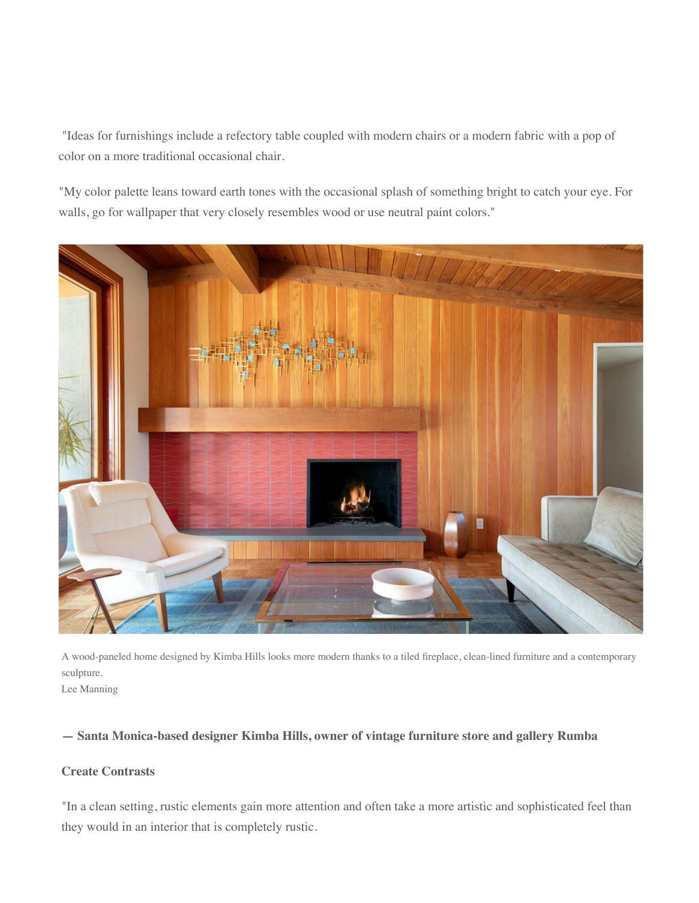"Ideas for furnishings include a refectory table coupled with modern chairs or a modern fabric with a pop of color on a more traditional occasional chair.

"My color palette leans toward earth tones with the occasional splash of something bright to catch your eye. For walls, go for wallpaper that very closely resembles wood or use neutral paint colors."



A wood-paneled home designed by Kimba Hills looks more modern thanks to a tiled fireplace, clean-lined furniture and a contemporary sculpture.

# Lee Manning

#### **— Santa Monica-based designer Kimba Hills, owner of vintage furniture store and gallery Rumba**

# **Create Con[trasts](https://www.barrons.com/articles/1957-ferrari-built-for-royalty-headlines-rm-sothebys-first-sale-of-2019-01547844133?mod=article_inline)**

"In a clean setting, rustic elements gain more attention and often take a more artistic and sophisticated feel than they would in an interior that is completely rustic.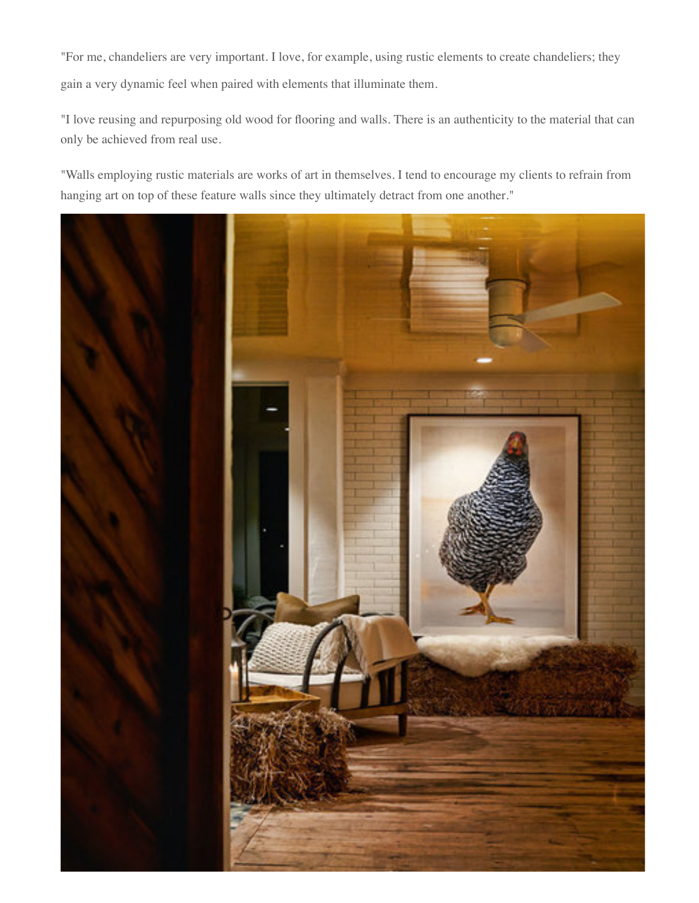"For me, chandeliers are very important. I love, for example, using rustic elements to crea[te cha](mailto:?subject=The%20Modern%20Way%20To%20Do%20Rustic%20Design&body=https://www.mansionglobal.com/articles/the-modern-way-to-do-rustic-design-119819)[ndelie](https://twitter.com/intent/tweet?text=The%20Modern%20Way%20To%20Do%20Rustic%20Design&url=https://www.mansionglobal.com/articles/the-modern-way-to-do-rustic-design-119819&via=MansionGlobal)[rs; the](https://www.facebook.com/sharer/sharer.php?u=https://www.mansionglobal.com/articles/the-modern-way-to-do-rustic-design-119819)[y](https://www.mansionglobal.com/articles/the-modern-way-to-do-rustic-design-119819#) gain a v[ery dynamic feel when paired with](https://www.mansionglobal.com/articles/the-modern-way-to-do-rustic-design-119819#) elements that illuminate them.

"I love reusing and repurposing old wood for flooring and walls. There is an authenticity to the material that can only be achieved from real use.

"Walls employing rustic materials are works of art in themselves. I tend to encourage my clients to refrain from hanging art on top of these feature walls since they ultimately detract from one another."